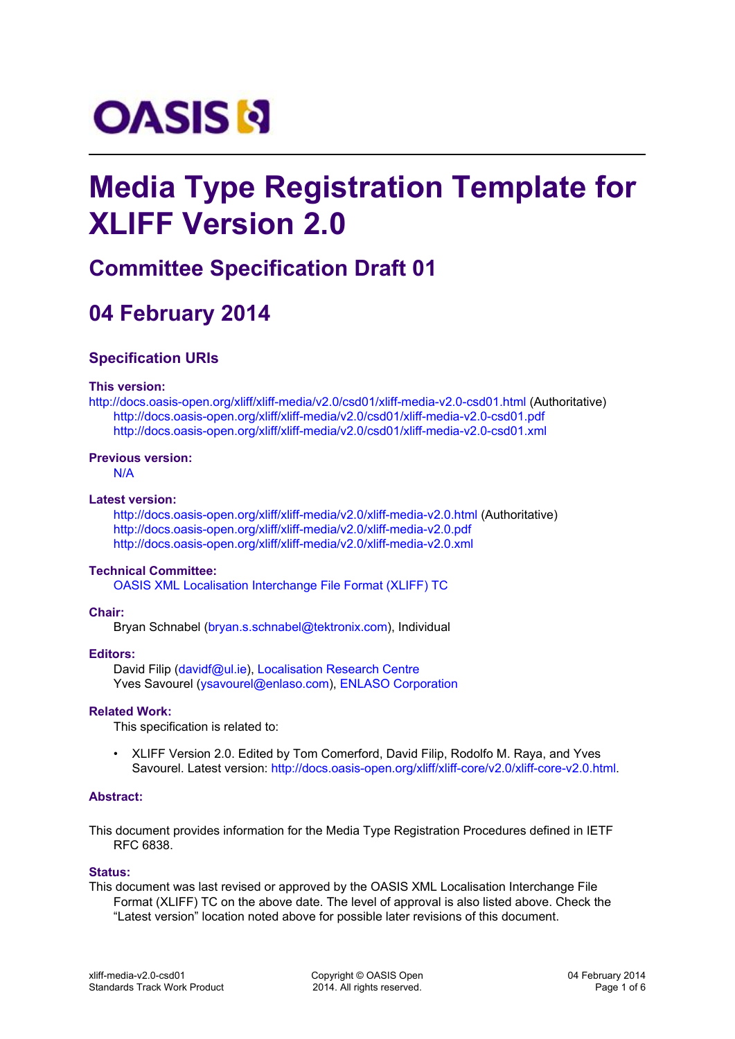# **OASIS N**

## **Media Type Registration Template for XLIFF Version 2.0**

### **Committee Specification Draft 01**

## **04 February 2014**

#### **Specification URIs**

#### **This version:**

http:[//docs.oasis-open.org/xliff/xliff-media/v2.0/csd01/xliff-media-v2.0-csd01.html \(Aut](http://docs.oasis-open.org/xliff/xliff-media/v2.0/csd01/xliff-media-v2.0-csd01.html)horitative) <http://docs.oasis-open.org/xliff/xliff-media/v2.0/csd01/xliff-media-v2.0-csd01.pdf> <http://docs.oasis-open.org/xliff/xliff-media/v2.0/csd01/xliff-media-v2.0-csd01.xml>

#### **Previous version:**

<N/A>

#### **Latest version:**

<http://docs.oasis-open.org/xliff/xliff-media/v2.0/xliff-media-v2.0.html>(Authoritative) <http://docs.oasis-open.org/xliff/xliff-media/v2.0/xliff-media-v2.0.pdf> <http://docs.oasis-open.org/xliff/xliff-media/v2.0/xliff-media-v2.0.xml>

#### **Technical Committee:**

[OASIS XML Localisation Interchange File Format \(XLIFF\) TC](https://www.oasis-open.org/committees/xliff/)

#### **Chair:**

Bryan Schnabel ([bryan.s.schnabel@tektronix.com\)](mailto:bryan.s.schnabel@tektronix.com), Individual

#### **Editors:**

David Filip ([davidf@ul.ie\)](mailto:davidf@ul.ie), [Localisation Research Centre](http://www.localisation.ie/) Yves Savourel ([ysavourel@enlaso.com\)](mailto:ysavourel@enlaso.com), [ENLASO Corporation](http://www.enlaso.com/)

#### **Related Work:**

This specification is related to:

• XLIFF Version 2.0. Edited by Tom Comerford, David Filip, Rodolfo M. Raya, and Yves Savourel. Latest version: http://docs.oasis-open.org/xliff/xliff-core/v2.0/xliff-core-v2.0.html.

#### **Abstract:**

This document provides information for the Media Type Registration Procedures defined in IETF RFC 6838.

#### **Status:**

This document was last revised or approved by the OASIS XML Localisation Interchange File Format (XLIFF) TC on the above date. The level of approval is also listed above. Check the "Latest version" location noted above for possible later revisions of this document.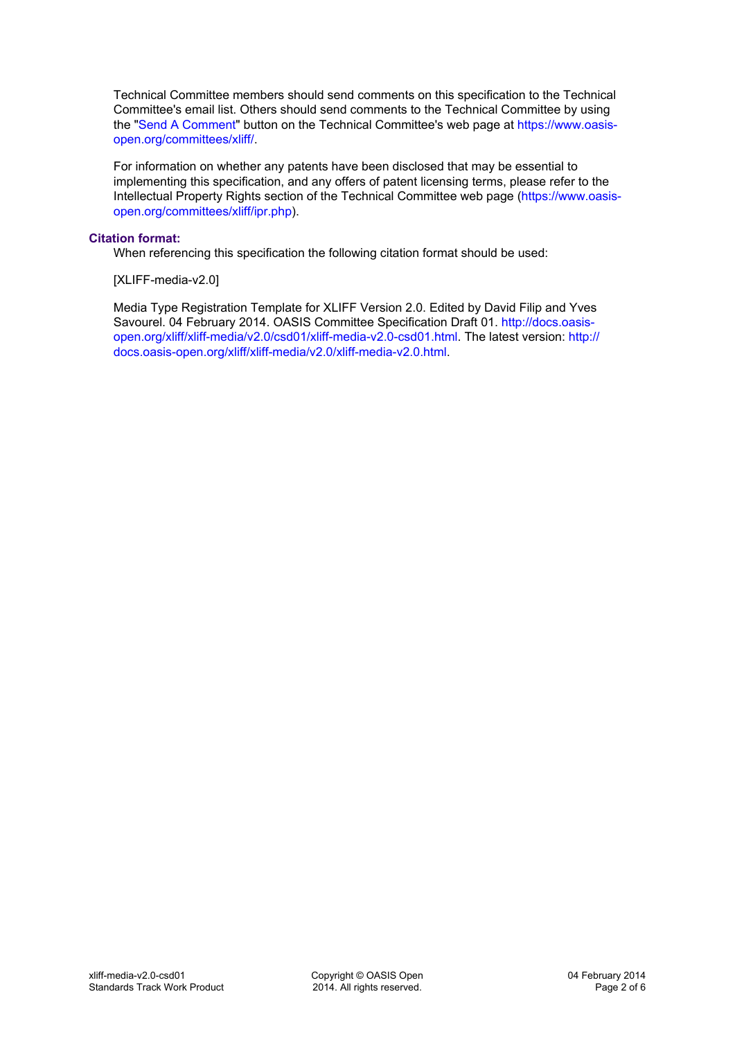Technical Committee members should send comments on this specification to the Technical Committee's email list. Others should send comments to the Technical Committee by using the ["Send A Comment](https://www.oasis-open.org/committees/comments/index.php?wg_abbrev=xliff)" button on the Technical Committee's web page at [https://www.oasis](https://www.oasis-open.org/committees/xliff/)[open.org/committees/xliff/.](https://www.oasis-open.org/committees/xliff/)

For information on whether any patents have been disclosed that may be essential to implementing this specification, and any offers of patent licensing terms, please refer to the Intellectual Property Rights section of the Technical Committee web page [\(https://www.oasis](https://www.oasis-open.org/committees/xliff/ipr.php)[open.org/committees/xliff/ipr.php](https://www.oasis-open.org/committees/xliff/ipr.php)).

#### **Citation format:**

When referencing this specification the following citation format should be used:

[XLIFF-media-v2.0]

Media Type Registration Template for XLIFF Version 2.0. Edited by David Filip and Yves Savourel. 04 February 2014. OASIS Committee Specification Draft 01. [http://docs.oasis](http://docs.oasis-open.org/xliff/xliff-media/v2.0/csd01/xliff-media-v2.0-csd01.html)[open.org/xliff/xliff-media/v2.0/csd01/xliff-media-v2.0-csd01.html.](http://docs.oasis-open.org/xliff/xliff-media/v2.0/csd01/xliff-media-v2.0-csd01.html) The latest version: [http://](http://docs.oasis-open.org/xliff/xliff-media/v2.0/xliff-media-v2.0.html) [docs.oasis-open.org/xliff/xliff-media/v2.0/xliff-media-v2.0.html.](http://docs.oasis-open.org/xliff/xliff-media/v2.0/xliff-media-v2.0.html)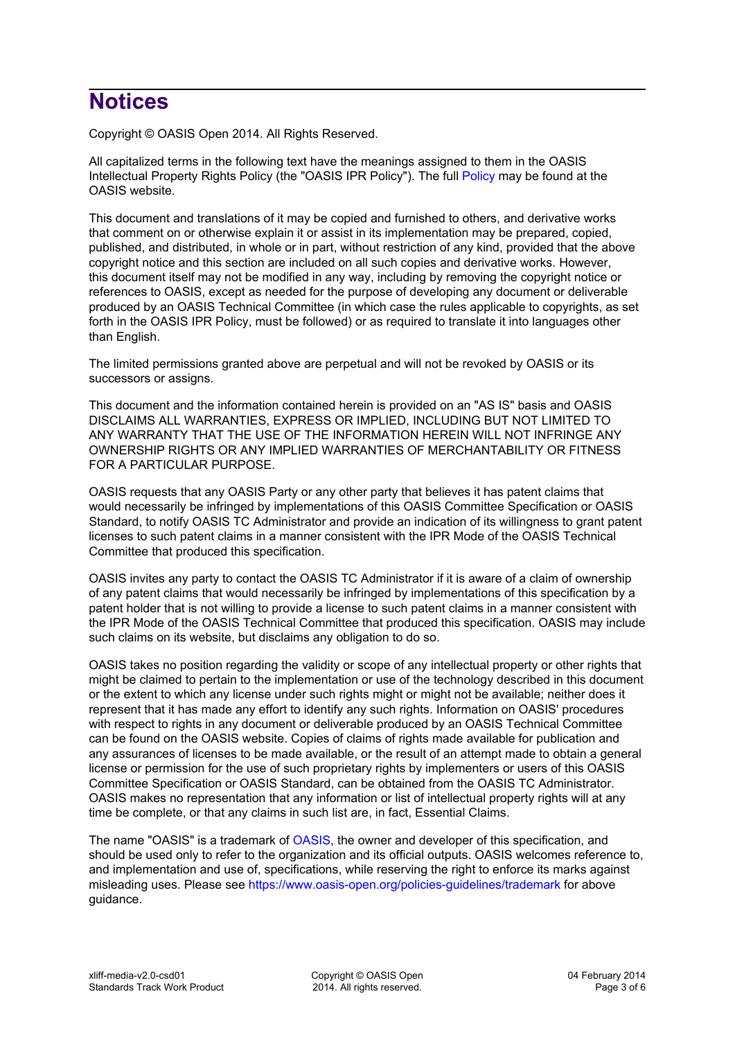## **Notices**

Copyright © OASIS Open 2014. All Rights Reserved.

All capitalized terms in the following text have the meanings assigned to them in the OASIS Intellectual Property Rights Policy (the "OASIS IPR Policy"). The full [Policy](https://www.oasis-open.org/policies-guidelines/ipr) may be found at the OASIS website.

This document and translations of it may be copied and furnished to others, and derivative works that comment on or otherwise explain it or assist in its implementation may be prepared, copied, published, and distributed, in whole or in part, without restriction of any kind, provided that the above copyright notice and this section are included on all such copies and derivative works. However, this document itself may not be modified in any way, including by removing the copyright notice or references to OASIS, except as needed for the purpose of developing any document or deliverable produced by an OASIS Technical Committee (in which case the rules applicable to copyrights, as set forth in the OASIS IPR Policy, must be followed) or as required to translate it into languages other than English.

The limited permissions granted above are perpetual and will not be revoked by OASIS or its successors or assigns.

This document and the information contained herein is provided on an "AS IS" basis and OASIS DISCLAIMS ALL WARRANTIES, EXPRESS OR IMPLIED, INCLUDING BUT NOT LIMITED TO ANY WARRANTY THAT THE USE OF THE INFORMATION HEREIN WILL NOT INFRINGE ANY OWNERSHIP RIGHTS OR ANY IMPLIED WARRANTIES OF MERCHANTABILITY OR FITNESS FOR A PARTICULAR PURPOSE.

OASIS requests that any OASIS Party or any other party that believes it has patent claims that would necessarily be infringed by implementations of this OASIS Committee Specification or OASIS Standard, to notify OASIS TC Administrator and provide an indication of its willingness to grant patent licenses to such patent claims in a manner consistent with the IPR Mode of the OASIS Technical Committee that produced this specification.

OASIS invites any party to contact the OASIS TC Administrator if it is aware of a claim of ownership of any patent claims that would necessarily be infringed by implementations of this specification by a patent holder that is not willing to provide a license to such patent claims in a manner consistent with the IPR Mode of the OASIS Technical Committee that produced this specification. OASIS may include such claims on its website, but disclaims any obligation to do so.

OASIS takes no position regarding the validity or scope of any intellectual property or other rights that might be claimed to pertain to the implementation or use of the technology described in this document or the extent to which any license under such rights might or might not be available; neither does it represent that it has made any effort to identify any such rights. Information on OASIS' procedures with respect to rights in any document or deliverable produced by an OASIS Technical Committee can be found on the OASIS website. Copies of claims of rights made available for publication and any assurances of licenses to be made available, or the result of an attempt made to obtain a general license or permission for the use of such proprietary rights by implementers or users of this OASIS Committee Specification or OASIS Standard, can be obtained from the OASIS TC Administrator. OASIS makes no representation that any information or list of intellectual property rights will at any time be complete, or that any claims in such list are, in fact, Essential Claims.

The name "OASIS" is a trademark of [OASIS,](https://www.oasis-open.org) the owner and developer of this specification, and should be used only to refer to the organization and its official outputs. OASIS welcomes reference to, and implementation and use of, specifications, while reserving the right to enforce its marks against misleading uses. Please see<https://www.oasis-open.org/policies-guidelines/trademark> for above guidance.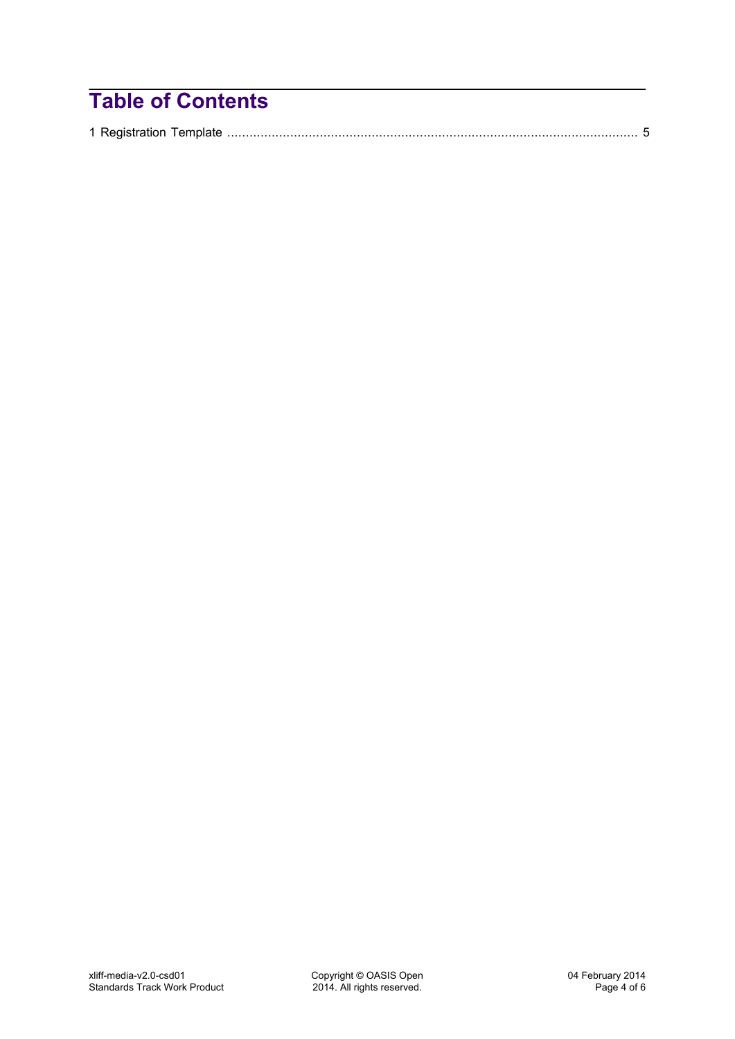## **Table of Contents**

|--|--|--|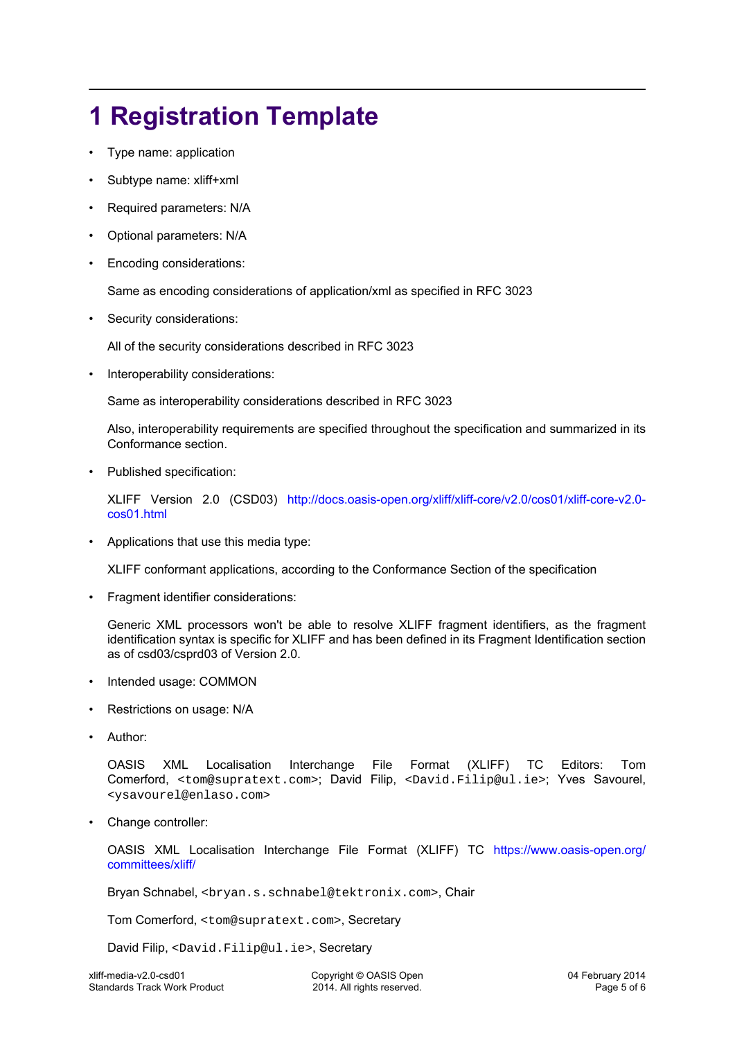## <span id="page-4-0"></span>**1 Registration Template**

- Type name: application
- Subtype name: xliff+xml
- Required parameters: N/A
- Optional parameters: N/A
- Encoding considerations:

Same as encoding considerations of application/xml as specified in RFC 3023

Security considerations:

All of the security considerations described in RFC 3023

• Interoperability considerations:

Same as interoperability considerations described in RFC 3023

Also, interoperability requirements are specified throughout the specification and summarized in its Conformance section.

Published specification:

XLIFF Version 2.0 (CSD03) [http://docs.oasis-open.org/xliff/xliff-core/v2.0/cos01/xliff-core-v2.0](http://docs.oasis-open.org/xliff/xliff-core/v2.0/cos01/xliff-core-v2.0-cos01.html) [cos01.html](http://docs.oasis-open.org/xliff/xliff-core/v2.0/cos01/xliff-core-v2.0-cos01.html)

• Applications that use this media type:

XLIFF conformant applications, according to the Conformance Section of the specification

• Fragment identifier considerations:

Generic XML processors won't be able to resolve XLIFF fragment identifiers, as the fragment identification syntax is specific for XLIFF and has been defined in its Fragment Identification section as of csd03/csprd03 of Version 2.0.

- Intended usage: COMMON
- Restrictions on usage: N/A
- Author:

OASIS XML Localisation Interchange File Format (XLIFF) TC Editors: Tom Comerford, <tom@supratext.com>; David Filip, <David.Filip@ul.ie>; Yves Savourel, <ysavourel@enlaso.com>

• Change controller:

OASIS XML Localisation Interchange File Format (XLIFF) TC [https://www.oasis-open.org/](https://www.oasis-open.org/committees/xliff/) [committees/xliff/](https://www.oasis-open.org/committees/xliff/)

Bryan Schnabel, <br yan.s.schnabel@tektronix.com>, Chair

Tom Comerford, <tom@supratext.com>, Secretary

David Filip, <David.Filip@ul.ie>, Secretary